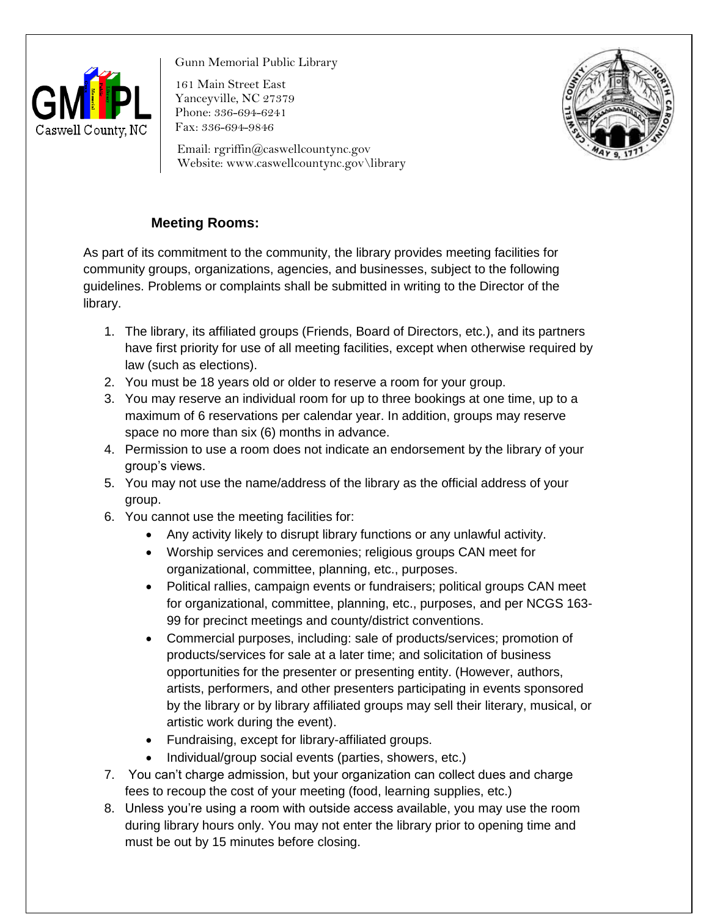

Gunn Memorial Public Library

161 Main Street East Yanceyville, NC 27379 Phone: 336-694-6241 Fax: 336-694-9846



Email: rgriffin@caswellcountync.gov Website: www.caswellcountync.gov\library

## **Meeting Rooms:**

As part of its commitment to the community, the library provides meeting facilities for community groups, organizations, agencies, and businesses, subject to the following guidelines. Problems or complaints shall be submitted in writing to the Director of the library.

- 1. The library, its affiliated groups (Friends, Board of Directors, etc.), and its partners have first priority for use of all meeting facilities, except when otherwise required by law (such as elections).
- 2. You must be 18 years old or older to reserve a room for your group.
- 3. You may reserve an individual room for up to three bookings at one time, up to a maximum of 6 reservations per calendar year. In addition, groups may reserve space no more than six (6) months in advance.
- 4. Permission to use a room does not indicate an endorsement by the library of your group's views.
- 5. You may not use the name/address of the library as the official address of your group.
- 6. You cannot use the meeting facilities for:
	- Any activity likely to disrupt library functions or any unlawful activity.
	- Worship services and ceremonies; religious groups CAN meet for organizational, committee, planning, etc., purposes.
	- Political rallies, campaign events or fundraisers; political groups CAN meet for organizational, committee, planning, etc., purposes, and per NCGS 163- 99 for precinct meetings and county/district conventions.
	- Commercial purposes, including: sale of products/services; promotion of products/services for sale at a later time; and solicitation of business opportunities for the presenter or presenting entity. (However, authors, artists, performers, and other presenters participating in events sponsored by the library or by library affiliated groups may sell their literary, musical, or artistic work during the event).
	- Fundraising, except for library-affiliated groups.
	- Individual/group social events (parties, showers, etc.)
- 7. You can't charge admission, but your organization can collect dues and charge fees to recoup the cost of your meeting (food, learning supplies, etc.)
- 8. Unless you're using a room with outside access available, you may use the room during library hours only. You may not enter the library prior to opening time and must be out by 15 minutes before closing.